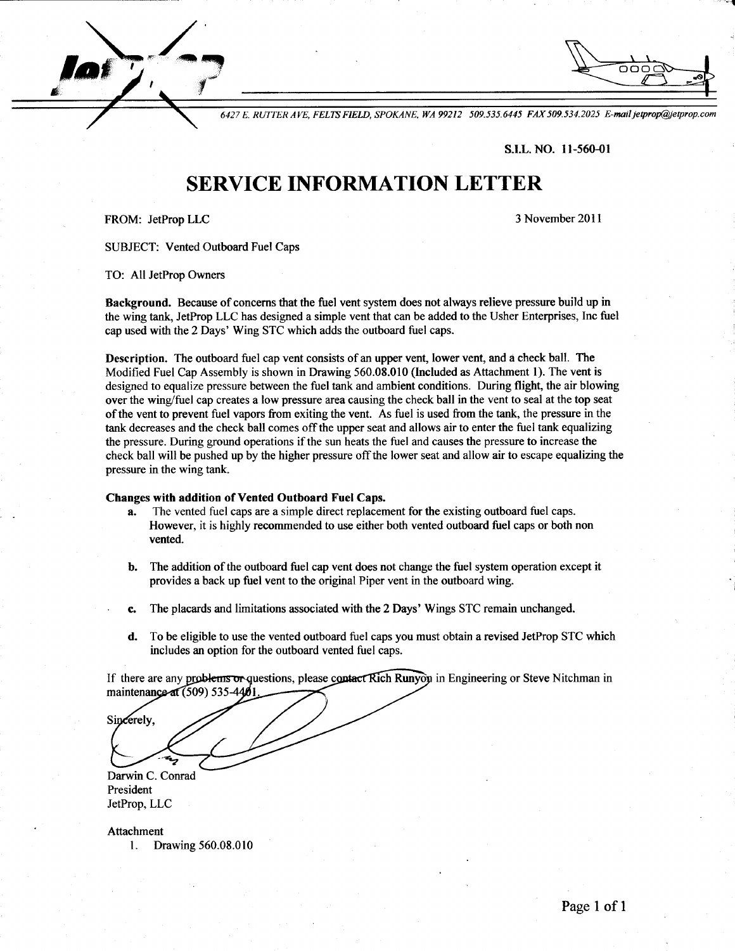$\searrow$  / lof  $\epsilon$  -  $\epsilon$ tta and the second state of the second state of the second state of the second state of the second state of the

6427 E. RUTTER AYE, FELN FIELD, SPOKANE, WA 99212 509.535.6445 FAX 509.534.2025 E-mail jeprop@ietprop.com

s-I.L. NO. ll-560-01

' t

## SERVICE INFORMATION LETTER

FROM: JetProp LLC

3 November 2011

SUBJECT: Vented Outboard Fuel Caps

TO: All JetProp Owners

Background. Because of concerns that the fuel vent system does not always relieve pressure build up in the wing tank, JetProp LLC has designed a simple vent that can be added to the Usher Enterprises, Inc fuel cap used with the 2 Days' Wing STC which adds the outboard fuel caps.

Description. The outboard fuel cap vent consists of an upper vent, lower vent, and a check ball. The Modified Fuel Cap Assembly is shown in Drawing 560.08.010 (Included as Attachment l). The vent is designed to equalize pressure between the fuel tank and ambient conditions. During flight, the air blowing over the wing/fuel cap creates a low pressure area causing the check ball in the vent to seal at the top seat of the vent to prevent fuel vapors from exiting the vent. As fuel is used from the tank, the pressure in the tank decreases and the check ball comes offthe upper seat and allows air to enter the fuel tank equalizing the pressure. During ground operations if the sun heats the fuel and causes the pressure to increase the check ball will be pushed up by the higher pressure off the lower seat and allow air to escape equalizing the pressure in the wing tank.

## Changes with addition of Vented Outboard Fuel Caps.

- a. The vented fuel caps are a simple direct replacement for the existing outboard fuel caps. However, it is highly recommended to use either both vented outboard fuel caps or both non vented.
- b. The addition of the outboard fuel cap vent does not change the fuel system operation except it provides a back up fuel vent to the original Piper vent in the outboard wing.
- The placards and limitations associated with the 2Days' Wings STC remain unchanged. c.
- To be eligible to use the vented outboard fuel caps you must obtain a revised JetProp STC which includes an option for the outboard vented fuel caps. d.

If there are any problems or questions, please contact Rich Runyon in Engineering or Steve Nitchman in maintenance at (509) 535-4401

Darwin C. Conrad President JetProp, LLC

Sincerely,

Attachment l. Drawing 560.08.010